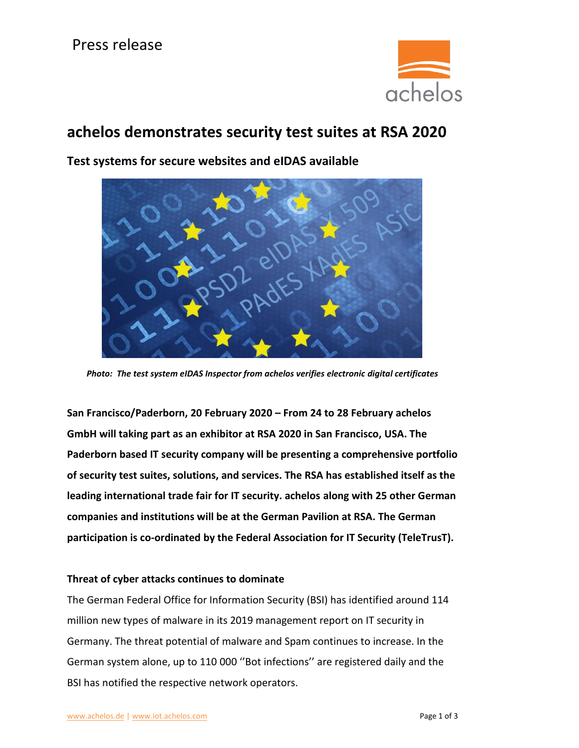

# **achelos demonstrates security test suites at RSA 2020**



**Test systems for secure websites and eIDAS available**

**San Francisco/Paderborn, 20 February 2020 – From 24 to 28 February achelos GmbH will taking part as an exhibitor at RSA 2020 in San Francisco, USA. The Paderborn based IT security company will be presenting a comprehensive portfolio of security test suites, solutions, and services. The RSA has established itself as the leading international trade fair for IT security. achelos along with 25 other German companies and institutions will be at the German Pavilion at RSA. The German participation is co-ordinated by the Federal Association for IT Security (TeleTrusT).**

### **Threat of cyber attacks continues to dominate**

The German Federal Office for Information Security (BSI) has identified around 114 million new types of malware in its 2019 management report on IT security in Germany. The threat potential of malware and Spam continues to increase. In the German system alone, up to 110 000 ''Bot infections'' are registered daily and the BSI has notified the respective network operators.

*Photo: The test system eIDAS Inspector from achelos verifies electronic digital certificates*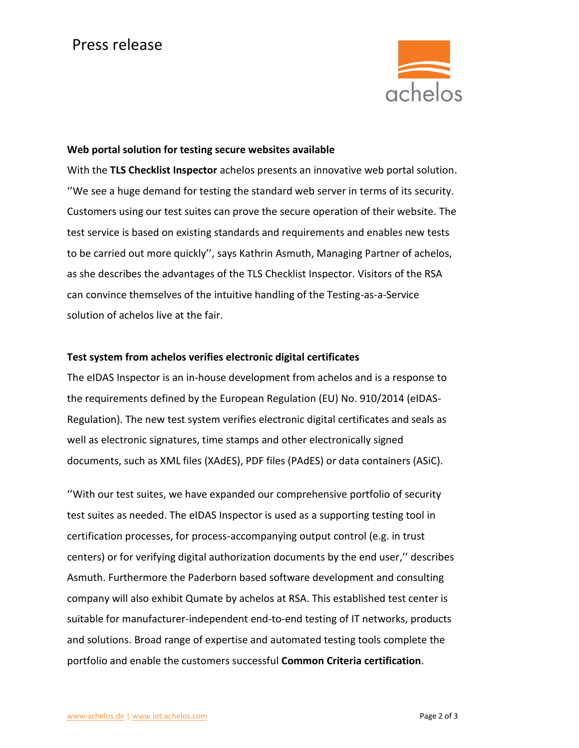

#### **Web portal solution for testing secure websites available**

With the **TLS Checklist Inspector** achelos presents an innovative web portal solution. ''We see a huge demand for testing the standard web server in terms of its security. Customers using our test suites can prove the secure operation of their website. The test service is based on existing standards and requirements and enables new tests to be carried out more quickly'', says Kathrin Asmuth, Managing Partner of achelos, as she describes the advantages of the TLS Checklist Inspector. Visitors of the RSA can convince themselves of the intuitive handling of the Testing-as-a-Service solution of achelos live at the fair.

### **Test system from achelos verifies electronic digital certificates**

The eIDAS Inspector is an in-house development from achelos and is a response to the requirements defined by the European Regulation (EU) No. 910/2014 (eIDAS-Regulation). The new test system verifies electronic digital certificates and seals as well as electronic signatures, time stamps and other electronically signed documents, such as XML files (XAdES), PDF files (PAdES) or data containers (ASiC).

''With our test suites, we have expanded our comprehensive portfolio of security test suites as needed. The eIDAS Inspector is used as a supporting testing tool in certification processes, for process-accompanying output control (e.g. in trust centers) or for verifying digital authorization documents by the end user,'' describes Asmuth. Furthermore the Paderborn based software development and consulting company will also exhibit Qumate by achelos at RSA. This established test center is suitable for manufacturer-independent end-to-end testing of IT networks, products and solutions. Broad range of expertise and automated testing tools complete the portfolio and enable the customers successful **Common Criteria certification**.